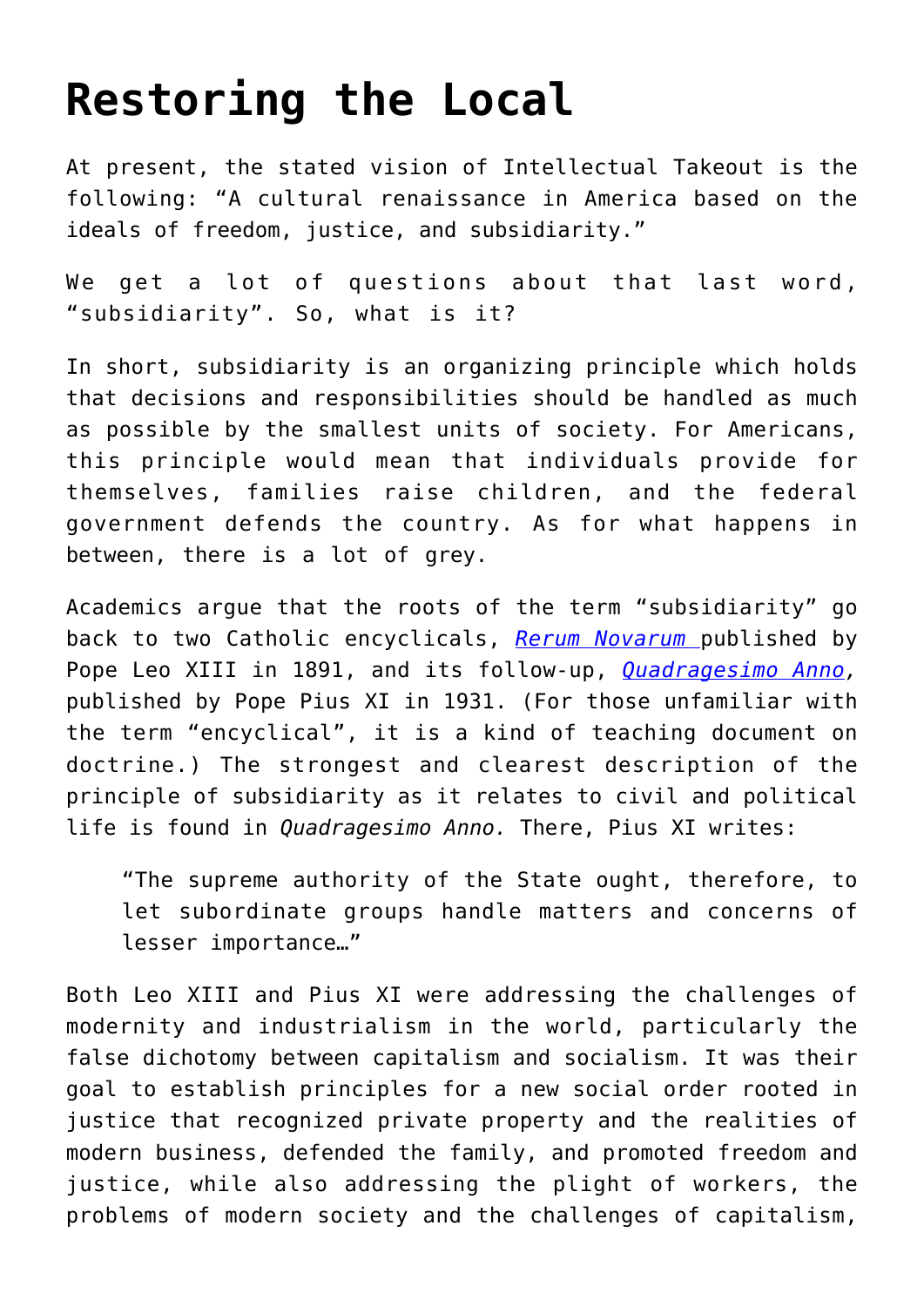## **[Restoring the Local](https://intellectualtakeout.org/2015/09/restoring-the-local/)**

At present, the stated vision of Intellectual Takeout is the following: "A cultural renaissance in America based on the ideals of freedom, justice, and subsidiarity."

We get a lot of questions about that last word, "subsidiarity". So, what is it?

In short, subsidiarity is an organizing principle which holds that decisions and responsibilities should be handled as much as possible by the smallest units of society. For Americans, this principle would mean that individuals provide for themselves, families raise children, and the federal government defends the country. As for what happens in between, there is a lot of grey.

Academics argue that the roots of the term "subsidiarity" go back to two Catholic encyclicals, *[Rerum Novarum](http://w2.vatican.va/content/leo-xiii/en/encyclicals/documents/hf_l-xiii_enc_15051891_rerum-novarum.html)* published by Pope Leo XIII in 1891, and its follow-up, *[Quadragesimo Anno,](http://w2.vatican.va/content/pius-xi/en/encyclicals/documents/hf_p-xi_enc_19310515_quadragesimo-anno.html)* published by Pope Pius XI in 1931. (For those unfamiliar with the term "encyclical", it is a kind of teaching document on doctrine.) The strongest and clearest description of the principle of subsidiarity as it relates to civil and political life is found in *Quadragesimo Anno.* There, Pius XI writes:

"The supreme authority of the State ought, therefore, to let subordinate groups handle matters and concerns of lesser importance…"

Both Leo XIII and Pius XI were addressing the challenges of modernity and industrialism in the world, particularly the false dichotomy between capitalism and socialism. It was their goal to establish principles for a new social order rooted in justice that recognized private property and the realities of modern business, defended the family, and promoted freedom and justice, while also addressing the plight of workers, the problems of modern society and the challenges of capitalism,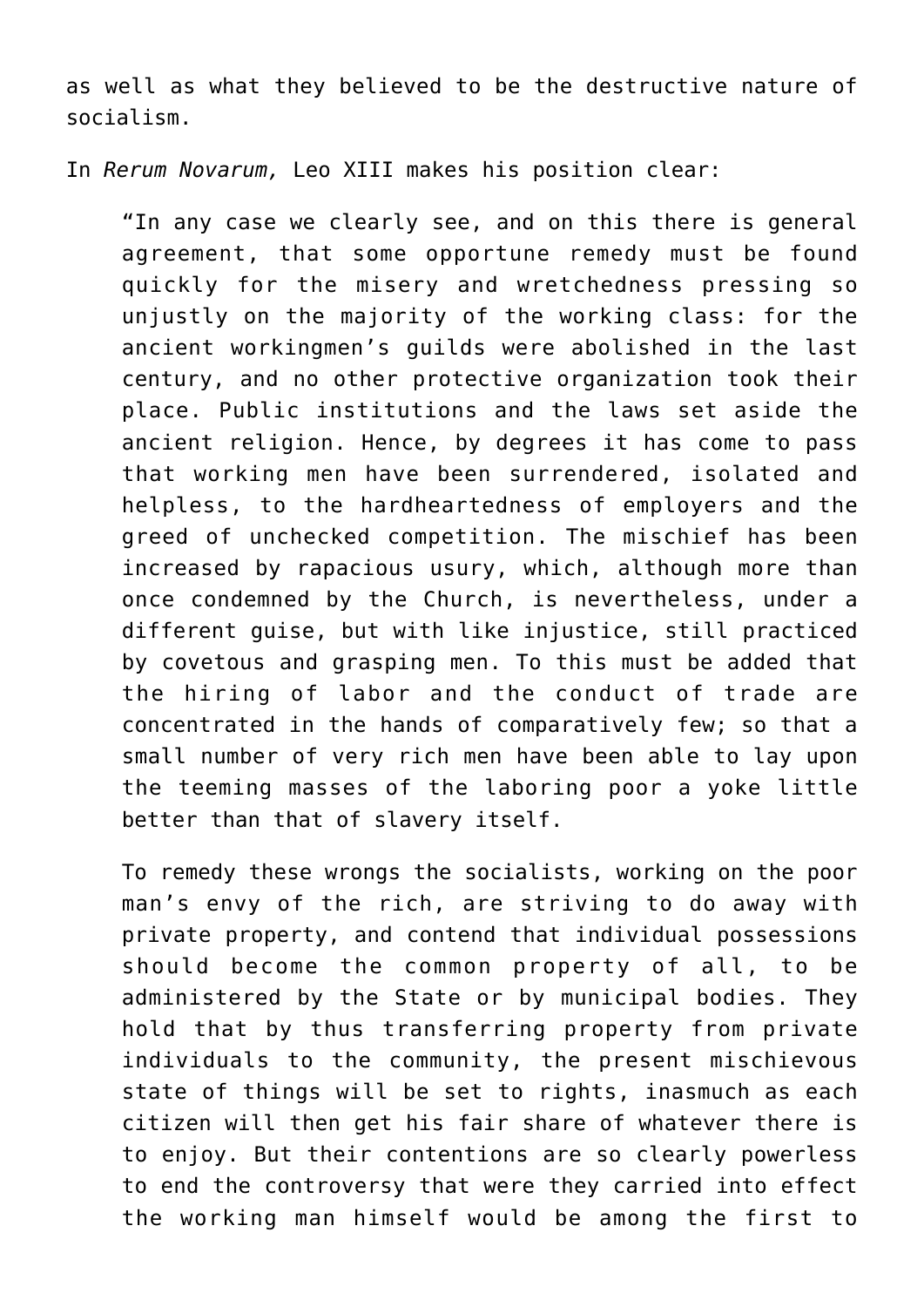as well as what they believed to be the destructive nature of socialism.

In *Rerum Novarum,* Leo XIII makes his position clear:

"In any case we clearly see, and on this there is general agreement, that some opportune remedy must be found quickly for the misery and wretchedness pressing so unjustly on the majority of the working class: for the ancient workingmen's guilds were abolished in the last century, and no other protective organization took their place. Public institutions and the laws set aside the ancient religion. Hence, by degrees it has come to pass that working men have been surrendered, isolated and helpless, to the hardheartedness of employers and the greed of unchecked competition. The mischief has been increased by rapacious usury, which, although more than once condemned by the Church, is nevertheless, under a different guise, but with like injustice, still practiced by covetous and grasping men. To this must be added that the hiring of labor and the conduct of trade are concentrated in the hands of comparatively few; so that a small number of very rich men have been able to lay upon the teeming masses of the laboring poor a yoke little better than that of slavery itself.

To remedy these wrongs the socialists, working on the poor man's envy of the rich, are striving to do away with private property, and contend that individual possessions should become the common property of all, to be administered by the State or by municipal bodies. They hold that by thus transferring property from private individuals to the community, the present mischievous state of things will be set to rights, inasmuch as each citizen will then get his fair share of whatever there is to enjoy. But their contentions are so clearly powerless to end the controversy that were they carried into effect the working man himself would be among the first to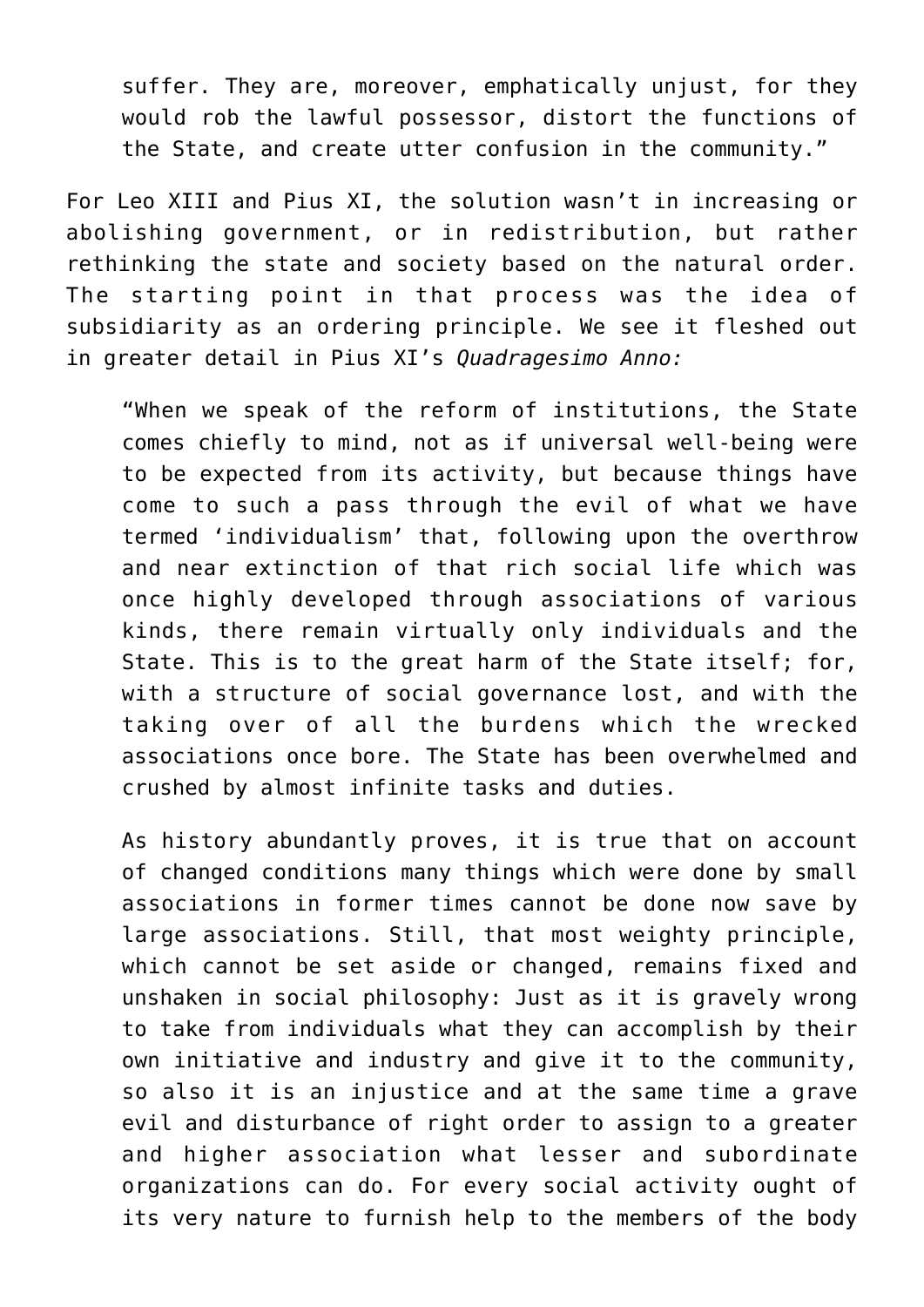suffer. They are, moreover, emphatically unjust, for they would rob the lawful possessor, distort the functions of the State, and create utter confusion in the community."

For Leo XIII and Pius XI, the solution wasn't in increasing or abolishing government, or in redistribution, but rather rethinking the state and society based on the natural order. The starting point in that process was the idea of subsidiarity as an ordering principle. We see it fleshed out in greater detail in Pius XI's *Quadragesimo Anno:*

"When we speak of the reform of institutions, the State comes chiefly to mind, not as if universal well-being were to be expected from its activity, but because things have come to such a pass through the evil of what we have termed 'individualism' that, following upon the overthrow and near extinction of that rich social life which was once highly developed through associations of various kinds, there remain virtually only individuals and the State. This is to the great harm of the State itself; for, with a structure of social governance lost, and with the taking over of all the burdens which the wrecked associations once bore. The State has been overwhelmed and crushed by almost infinite tasks and duties.

As history abundantly proves, it is true that on account of changed conditions many things which were done by small associations in former times cannot be done now save by large associations. Still, that most weighty principle, which cannot be set aside or changed, remains fixed and unshaken in social philosophy: Just as it is gravely wrong to take from individuals what they can accomplish by their own initiative and industry and give it to the community, so also it is an injustice and at the same time a grave evil and disturbance of right order to assign to a greater and higher association what lesser and subordinate organizations can do. For every social activity ought of its very nature to furnish help to the members of the body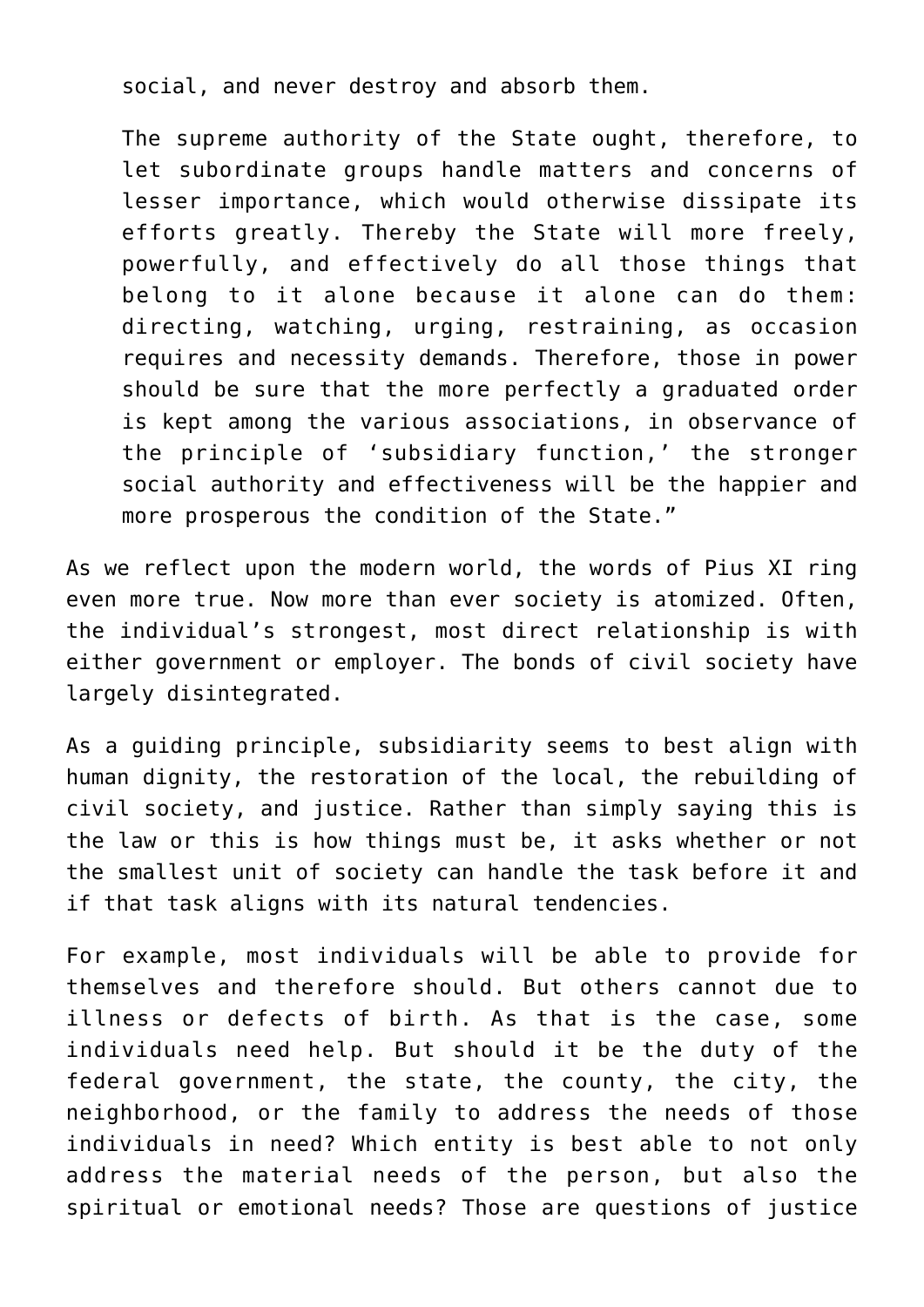social, and never destroy and absorb them.

The supreme authority of the State ought, therefore, to let subordinate groups handle matters and concerns of lesser importance, which would otherwise dissipate its efforts greatly. Thereby the State will more freely, powerfully, and effectively do all those things that belong to it alone because it alone can do them: directing, watching, urging, restraining, as occasion requires and necessity demands. Therefore, those in power should be sure that the more perfectly a graduated order is kept among the various associations, in observance of the principle of 'subsidiary function,' the stronger social authority and effectiveness will be the happier and more prosperous the condition of the State."

As we reflect upon the modern world, the words of Pius XI ring even more true. Now more than ever society is atomized. Often, the individual's strongest, most direct relationship is with either government or employer. The bonds of civil society have largely disintegrated.

As a guiding principle, subsidiarity seems to best align with human dignity, the restoration of the local, the rebuilding of civil society, and justice. Rather than simply saying this is the law or this is how things must be, it asks whether or not the smallest unit of society can handle the task before it and if that task aligns with its natural tendencies.

For example, most individuals will be able to provide for themselves and therefore should. But others cannot due to illness or defects of birth. As that is the case, some individuals need help. But should it be the duty of the federal government, the state, the county, the city, the neighborhood, or the family to address the needs of those individuals in need? Which entity is best able to not only address the material needs of the person, but also the spiritual or emotional needs? Those are questions of justice